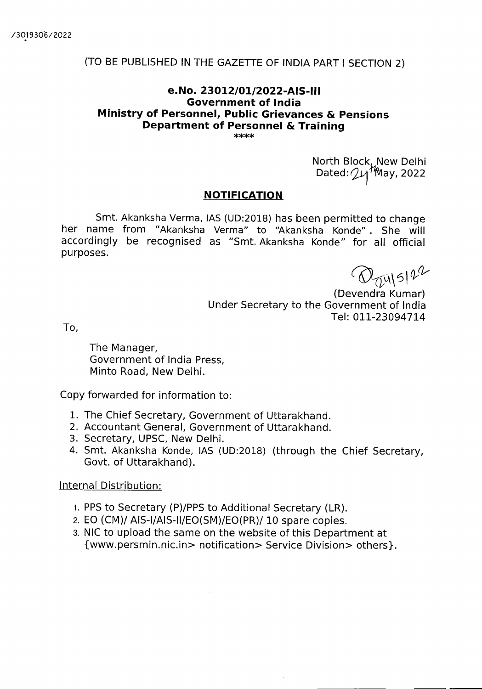## (TO BE PUBLISHED IN THE GAZETTE OF INDIA PART I SECTION 2)

## **e.No. 23012/01/2022**-MS-Ill **Government of India Ministry of Personnel, Public Grievances & Pensions Department of Personnel** & **Training**

North Block, New Delhi Dated:  $24^{4}$ May, 2022

## **NOTIFICATION**

Smt. Akanksha Verma, lAS (UD:2018) has been permitted to change her name from "Akanksha Verma" to "Akanksha Konde" . She will accordingly be recognised as "Smt. Akanksha Konde" for all official purposes.

 $\bigotimes_{\substack{u \in \mathbb{N} \\ u \in \mathbb{N}}} \mathbb{E}[u] \in \mathbb{R}$ 

Under Secretary to the Government of India Tel: 011-23094714

To,

The Manager, Government of India Press, Minto Road, New Delhi.

Copy forwarded for information to:

- 1. The Chief Secretary, Government of Uttarakhand.
- 2. Accountant General, Government of Uttarakhand.
- 3. Secretary, UPSC, New Delhi.
- 4. Smt. Akanksha Konde, lAS (UD:2018) (through the Chief Secretary, Govt. of Uttarakhand).

Internal Distribution:

- 1. PPS to Secretary (P)/PPS to Additional Secretary (LR).
- 2. EO (CM)/ AIS-I/AIS-II/EO(SM)/EO(PR)/ 10 spare copies.
- 3. NIC to upload the same on the website of this Department at {www.persmin.nic.in> notification> Service Division> others}.